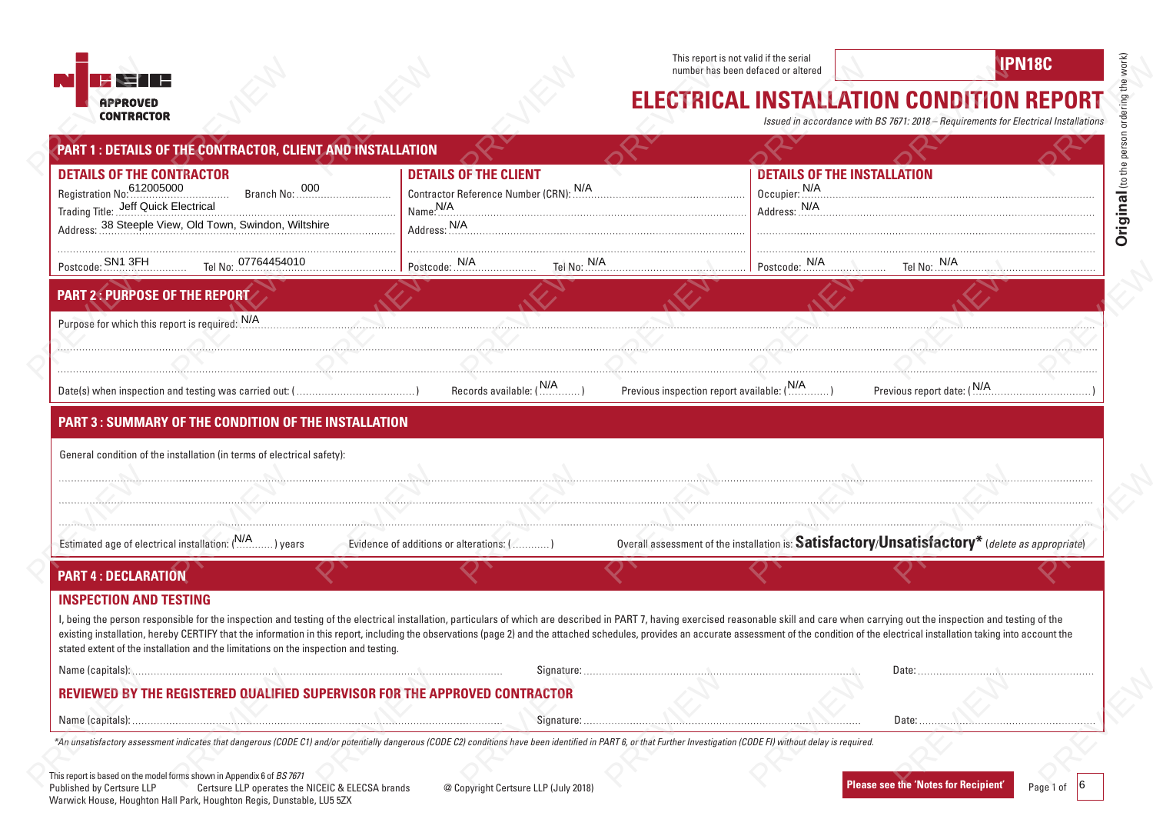



## **ELECTRICAL INSTALLATION CONDITION REPORT**

|                                                                                                                                                                                                                                                                                                                                                                                                                                                                                                                                                          |                                                  |                                                                                                      |             | This report is not valid if the serial<br>number has been defaced or altered |                                                                                                                                       | <b>IPN18C</b>              |
|----------------------------------------------------------------------------------------------------------------------------------------------------------------------------------------------------------------------------------------------------------------------------------------------------------------------------------------------------------------------------------------------------------------------------------------------------------------------------------------------------------------------------------------------------------|--------------------------------------------------|------------------------------------------------------------------------------------------------------|-------------|------------------------------------------------------------------------------|---------------------------------------------------------------------------------------------------------------------------------------|----------------------------|
| <b>APPROVED</b><br><b>CONTRACTOR</b>                                                                                                                                                                                                                                                                                                                                                                                                                                                                                                                     |                                                  |                                                                                                      |             |                                                                              | <b>ELECTRICAL INSTALLATION CONDITION REPORT</b><br>Issued in accordance with BS 7671: 2018 - Requirements for Electrical Installation |                            |
| PART 1 : DETAILS OF THE CONTRACTOR, CLIENT AND INSTALLATION                                                                                                                                                                                                                                                                                                                                                                                                                                                                                              |                                                  |                                                                                                      |             |                                                                              |                                                                                                                                       |                            |
| <b>DETAILS OF THE CONTRACTOR</b><br>Trading Title: Jeff Quick Electrical                                                                                                                                                                                                                                                                                                                                                                                                                                                                                 |                                                  | <b>DETAILS OF THE CLIENT</b><br>Contractor Reference Number (CRN): \\/A<br>Name. N/A<br>Address: N/A |             |                                                                              | <b>DETAILS OF THE INSTALLATION</b><br>Occupier: M/A<br>Address: N/A                                                                   |                            |
| Postcode: SN1 3FH Tel No: 07764454010                                                                                                                                                                                                                                                                                                                                                                                                                                                                                                                    |                                                  | Postcode: N/A                                                                                        | Tel No: N/A |                                                                              | Postcode: N/A<br>Tel No: N/A                                                                                                          |                            |
| <b>PART 2: PURPOSE OF THE REPORT</b>                                                                                                                                                                                                                                                                                                                                                                                                                                                                                                                     |                                                  |                                                                                                      |             |                                                                              |                                                                                                                                       |                            |
| Purpose for which this report is required: M/A                                                                                                                                                                                                                                                                                                                                                                                                                                                                                                           |                                                  |                                                                                                      |             |                                                                              |                                                                                                                                       |                            |
|                                                                                                                                                                                                                                                                                                                                                                                                                                                                                                                                                          |                                                  |                                                                                                      |             |                                                                              |                                                                                                                                       |                            |
|                                                                                                                                                                                                                                                                                                                                                                                                                                                                                                                                                          |                                                  |                                                                                                      |             | Previous inspection report available: (N/A)                                  |                                                                                                                                       | Previous report date: (N/A |
| <b>PART 3: SUMMARY OF THE CONDITION OF THE INSTALLATION</b>                                                                                                                                                                                                                                                                                                                                                                                                                                                                                              |                                                  |                                                                                                      |             |                                                                              |                                                                                                                                       |                            |
|                                                                                                                                                                                                                                                                                                                                                                                                                                                                                                                                                          |                                                  |                                                                                                      |             |                                                                              |                                                                                                                                       |                            |
| General condition of the installation (in terms of electrical safety):                                                                                                                                                                                                                                                                                                                                                                                                                                                                                   |                                                  |                                                                                                      |             |                                                                              |                                                                                                                                       |                            |
|                                                                                                                                                                                                                                                                                                                                                                                                                                                                                                                                                          |                                                  |                                                                                                      |             |                                                                              |                                                                                                                                       |                            |
| Estimated age of electrical installation: (N/A) years                                                                                                                                                                                                                                                                                                                                                                                                                                                                                                    |                                                  | Evidence of additions or alterations: (  )                                                           |             |                                                                              | Overall assessment of the installation is: Satisfactory/Unsatisfactory* (delete as appropriate)                                       |                            |
| <b>PART 4: DECLARATION</b>                                                                                                                                                                                                                                                                                                                                                                                                                                                                                                                               |                                                  |                                                                                                      |             |                                                                              |                                                                                                                                       |                            |
| <b>INSPECTION AND TESTING</b>                                                                                                                                                                                                                                                                                                                                                                                                                                                                                                                            |                                                  |                                                                                                      |             |                                                                              |                                                                                                                                       |                            |
| I, being the person responsible for the inspection and testing of the electrical installation, particulars of which are described in PART 7, having exercised reasonable skill and care when carrying out the inspection and t<br>existing installation, hereby CERTIFY that the information in this report, including the observations (page 2) and the attached schedules, provides an accurate assessment of the condition of the electrical installation tak<br>stated extent of the installation and the limitations on the inspection and testing. |                                                  |                                                                                                      |             |                                                                              |                                                                                                                                       |                            |
|                                                                                                                                                                                                                                                                                                                                                                                                                                                                                                                                                          |                                                  |                                                                                                      |             |                                                                              |                                                                                                                                       |                            |
| REVIEWED BY THE REGISTERED QUALIFIED SUPERVISOR FOR THE APPROVED CONTRACTOR                                                                                                                                                                                                                                                                                                                                                                                                                                                                              |                                                  |                                                                                                      |             |                                                                              |                                                                                                                                       |                            |
| *An unsatisfactory assessment indicates that dangerous (CODE C1) and/or potentially dangerous (CODE C2) conditions have been identified in PART 6, or that Further Investigation (CODE FI) without delay is required.                                                                                                                                                                                                                                                                                                                                    |                                                  |                                                                                                      |             |                                                                              |                                                                                                                                       |                            |
|                                                                                                                                                                                                                                                                                                                                                                                                                                                                                                                                                          |                                                  |                                                                                                      |             |                                                                              |                                                                                                                                       |                            |
| This report is based on the model forms shown in Appendix 6 of BS 7671<br>Published by Certsure LLP<br>Warwick House, Houghton Hall Park, Houghton Regis, Dunstable, LU5 5ZX                                                                                                                                                                                                                                                                                                                                                                             | Certsure LLP operates the NICEIC & ELECSA brands | @ Copyright Certsure LLP (July 2018)                                                                 |             |                                                                              | <b>Please see the 'Notes for Recipient'</b>                                                                                           | Page 1 of $ 6$             |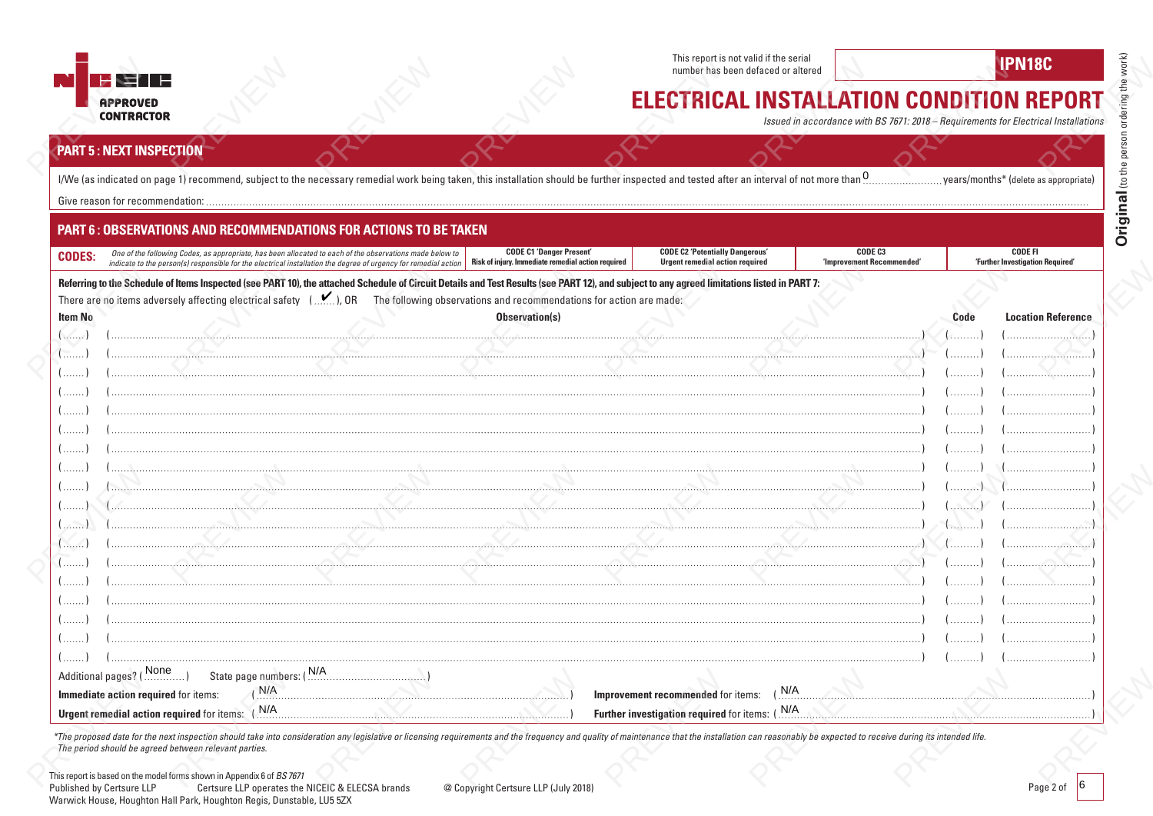

This report is not valid if the serial **number has been defaced or altered IPN18C**<br>**IPN18C** 



## **ELECTRICAL INSTALLATION CONDITION REPORT**

*Issued in accordance with BS 7671: 2018 – Requirements for Electrical Installations*

### **PART 5 : NEXT INSPECTION**

|                | <b>PART 6: OBSERVATIONS AND RECOMMENDATIONS FOR ACTIONS TO BE TAKEN</b>                                                                                                                                                                                                          |                                 |                                                                                  |                                      |                                                    |                           |  |  |
|----------------|----------------------------------------------------------------------------------------------------------------------------------------------------------------------------------------------------------------------------------------------------------------------------------|---------------------------------|----------------------------------------------------------------------------------|--------------------------------------|----------------------------------------------------|---------------------------|--|--|
| <b>CODES:</b>  | One of the following Codes, as appropriate, has been allocated to each of the observations made below to<br>indicate to the person(s) responsible for the electrical installation the degree of urgency for remedial action   Risk of injury. Immediate remedial action required | <b>CODE C1 'Danger Present'</b> | <b>CODE C2 'Potentially Dangerous'</b><br><b>Urgent remedial action required</b> | CODE C3<br>'Improvement Recommended' | <b>CODE FI</b><br>'Further Investigation Required' |                           |  |  |
|                | Referring to the Schedule of Items Inspected (see PART 10), the attached Schedule of Circuit Details and Test Results (see PART 12), and subject to any agreed limitations listed in PART 7:                                                                                     |                                 |                                                                                  |                                      |                                                    |                           |  |  |
|                | There are no items adversely affecting electrical safety (), OR The following observations and recommendations for action are made:                                                                                                                                              |                                 |                                                                                  |                                      |                                                    |                           |  |  |
| <b>Item No</b> |                                                                                                                                                                                                                                                                                  | Observation(s)                  |                                                                                  |                                      | Code                                               | <b>Location Reference</b> |  |  |
|                |                                                                                                                                                                                                                                                                                  |                                 |                                                                                  |                                      |                                                    |                           |  |  |
|                |                                                                                                                                                                                                                                                                                  |                                 |                                                                                  |                                      |                                                    |                           |  |  |
|                |                                                                                                                                                                                                                                                                                  |                                 |                                                                                  |                                      |                                                    |                           |  |  |
|                |                                                                                                                                                                                                                                                                                  |                                 |                                                                                  |                                      |                                                    |                           |  |  |
|                |                                                                                                                                                                                                                                                                                  |                                 |                                                                                  |                                      |                                                    |                           |  |  |
|                |                                                                                                                                                                                                                                                                                  |                                 |                                                                                  |                                      |                                                    |                           |  |  |
|                |                                                                                                                                                                                                                                                                                  |                                 |                                                                                  |                                      |                                                    |                           |  |  |
|                |                                                                                                                                                                                                                                                                                  |                                 |                                                                                  |                                      |                                                    |                           |  |  |
|                |                                                                                                                                                                                                                                                                                  |                                 |                                                                                  |                                      |                                                    |                           |  |  |
|                |                                                                                                                                                                                                                                                                                  |                                 |                                                                                  |                                      | <b>ALLINIA</b>                                     |                           |  |  |
|                |                                                                                                                                                                                                                                                                                  |                                 |                                                                                  |                                      |                                                    |                           |  |  |
|                |                                                                                                                                                                                                                                                                                  |                                 |                                                                                  |                                      |                                                    |                           |  |  |
|                |                                                                                                                                                                                                                                                                                  |                                 |                                                                                  |                                      |                                                    |                           |  |  |
|                |                                                                                                                                                                                                                                                                                  |                                 |                                                                                  |                                      |                                                    |                           |  |  |
|                |                                                                                                                                                                                                                                                                                  |                                 |                                                                                  |                                      |                                                    |                           |  |  |

\*The proposed date for the next inspection should take into consideration any legislative or licensing requirements and the frequency and quality of maintenance that the installation can reasonably be expected to receive d *The period should be agreed between relevant parties.*

( ) ( ) ( ) ( )

**Immediate action required** for items: ( ) N/A  $\ldots$  ( )  $\ldots$   $\ldots$   $\ldots$   $\ldots$   $\ldots$   $\ldots$   $\ldots$   $\ldots$   $\ldots$   $\ldots$   $\ldots$   $\ldots$   $\ldots$   $\ldots$   $\ldots$   $\ldots$   $\ldots$   $\ldots$   $\ldots$   $\ldots$   $\ldots$   $\ldots$   $\ldots$   $\ldots$   $\ldots$   $\ldots$   $\ldots$   $\ld$ 

( ) ( ) ( ) ( ) ( ) ( ) ( ) ( )

Urgent remedial action required for items: (  $N/A$  , ) **Alluminum constructs in the properties** ( ) **Further investigation required** for items: (  $N/A$  , ) **Alluminum constructs in the properties** ( ) ) **Further investigatio** 

Improvement recommended for items: (N/A

This report is based on the model forms shown in Appendix 6 of *BS 7671*

Additional pages? ( None )

Published by Certsure LLP Certsure LLP operates the NICEIC & ELECSA brands @ Copyright Certsure LLP (July 2018) Warwick House, Houghton Hall Park, Houghton Regis, Dunstable, LU5 5ZX

 $(N/A)$ 

State page numbers: (N/A)

Urgent remedial action required for items: (N/A example action of the contract of the contract of the contract of the contract of the contract of the contract of the contract of the contract of the contract of the contract

Page 2 of 6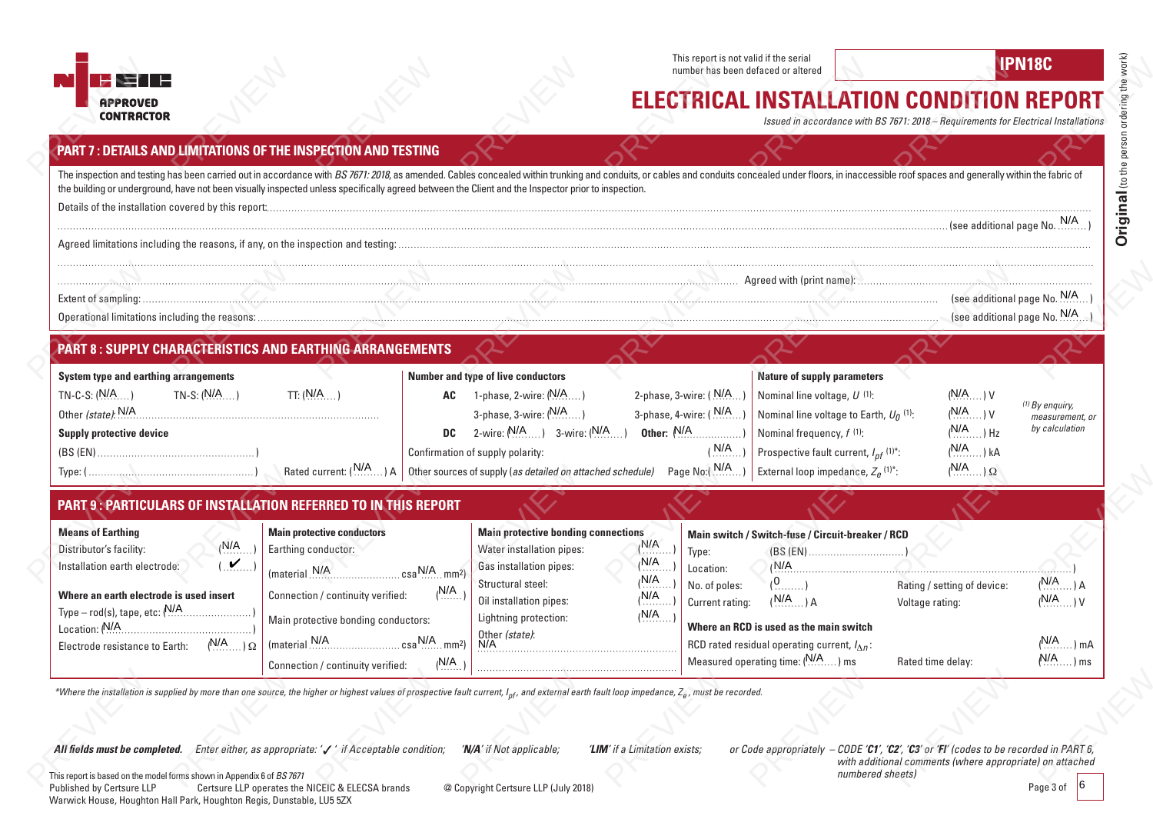

# **ELECTRICAL INSTALLATION CONDITION REPORT**

*Issued in accordance with BS 7671: 2018 – Requirements for Electrical Installations*

| <b>PART 7: DETAILS AND LIMITATIONS OF THE INSPECTION AND TESTING</b>                                                                                                                                                                                                                                                                                                                 |                                                  |                                                                                                 |                                                                                                                                                                                                                                      |                                                |                              |
|--------------------------------------------------------------------------------------------------------------------------------------------------------------------------------------------------------------------------------------------------------------------------------------------------------------------------------------------------------------------------------------|--------------------------------------------------|-------------------------------------------------------------------------------------------------|--------------------------------------------------------------------------------------------------------------------------------------------------------------------------------------------------------------------------------------|------------------------------------------------|------------------------------|
| The inspection and testing has been carried out in accordance with BS 7671: 2018, as amended. Cables concealed within trunking and conduits, or cables and conduits concealed under floors, in inaccessible roof spaces and ge<br>the building or underground, have not been visually inspected unless specifically agreed between the Client and the Inspector prior to inspection. |                                                  |                                                                                                 |                                                                                                                                                                                                                                      |                                                |                              |
|                                                                                                                                                                                                                                                                                                                                                                                      |                                                  |                                                                                                 | (see additional page No. <sup>N/A</sup> ) بالمستحدث المستحدث المستخدمات المستخدمات المستخدمات المستخدمات المستخدمات المستخدمات المستخدمات المستخدمات المستخدمات المستخدمات المستخدمات المستخدمات المستخدمات المستخدمات المستخدمات ال |                                                |                              |
|                                                                                                                                                                                                                                                                                                                                                                                      |                                                  |                                                                                                 |                                                                                                                                                                                                                                      |                                                |                              |
|                                                                                                                                                                                                                                                                                                                                                                                      |                                                  |                                                                                                 |                                                                                                                                                                                                                                      |                                                |                              |
|                                                                                                                                                                                                                                                                                                                                                                                      |                                                  |                                                                                                 |                                                                                                                                                                                                                                      |                                                |                              |
|                                                                                                                                                                                                                                                                                                                                                                                      |                                                  |                                                                                                 |                                                                                                                                                                                                                                      |                                                |                              |
| <b>PART 8: SUPPLY CHARACTERISTICS AND EARTHING ARRANGEMENTS</b>                                                                                                                                                                                                                                                                                                                      |                                                  |                                                                                                 |                                                                                                                                                                                                                                      |                                                |                              |
| <b>System type and earthing arrangements</b>                                                                                                                                                                                                                                                                                                                                         | Number and type of live conductors               |                                                                                                 | <b>Nature of supply parameters</b>                                                                                                                                                                                                   |                                                |                              |
| TN-S: $(N/A \dots)$<br>$TN-C-S: (N/A)$<br>TT: $(N/A$                                                                                                                                                                                                                                                                                                                                 | 1-phase, 2-wire: ( <sup>N/A</sup> )<br><b>AC</b> |                                                                                                 | 2-phase, 3-wire: $(N/A)$<br>Nominal line voltage, U (1):                                                                                                                                                                             | $(N/A \dots)$ V                                | $(1)$ By enquiry,            |
| Other (state): $N/A$                                                                                                                                                                                                                                                                                                                                                                 | 3-phase, 3-wire: $(N/A$                          |                                                                                                 | 3-phase, 4-wire: $(N/A)$ .<br>Nominal line voltage to Earth, $U_0$ <sup>(1)</sup> :                                                                                                                                                  | $(N/A \ldots) V$                               | measurement, or              |
| <b>Supply protective device</b>                                                                                                                                                                                                                                                                                                                                                      | <b>DC</b> 2-wire: $N/A$ ) 3-wire: $(N/A)$        |                                                                                                 | Other: $N/A$ (1)<br>Nominal frequency, f (1):                                                                                                                                                                                        | $(N/A$ $(HZ)$                                  | by calculation               |
|                                                                                                                                                                                                                                                                                                                                                                                      | Confirmation of supply polarity:                 |                                                                                                 | $(N/A)$<br>Prospective fault current, $I_{nf}$ (1)*:                                                                                                                                                                                 | $(N/A$ $(kA)$                                  |                              |
|                                                                                                                                                                                                                                                                                                                                                                                      |                                                  | Rated current: (N/A) A Cther sources of supply (as detailed on attached schedule) Page No:(N/A) | External loop impedance, $Z_e$ <sup>(1)*</sup> :                                                                                                                                                                                     | $(N/A)$ $\Omega$                               |                              |
| <b>PART 9: PARTICULARS OF INSTALLATION REFERRED TO IN THIS REPORT</b>                                                                                                                                                                                                                                                                                                                |                                                  |                                                                                                 |                                                                                                                                                                                                                                      |                                                |                              |
| <b>Main protective conductors</b><br><b>Means of Earthing</b>                                                                                                                                                                                                                                                                                                                        |                                                  | <b>Main protective bonding connections</b>                                                      | Main switch / Switch-fuse / Circuit-breaker / RCD                                                                                                                                                                                    |                                                |                              |
| (N/A)<br>Earthing conductor:<br>Distributor's facility:                                                                                                                                                                                                                                                                                                                              | Water installation pipes:                        | (N/A)                                                                                           | Type:                                                                                                                                                                                                                                |                                                |                              |
| $(\mathbf{M},\mathbf{M})$<br>Installation earth electrode:<br>$(material N/A$ $N/A$ $csa N/A$ $mm2)$                                                                                                                                                                                                                                                                                 | Gas installation pipes:<br>Structural steel:     | (N/A)<br>(N/A)                                                                                  | Location:                                                                                                                                                                                                                            | N/A                                            |                              |
| Connection / continuity verified:<br>Where an earth electrode is used insert                                                                                                                                                                                                                                                                                                         | (N/A)<br>Oil installation pipes:                 | (N/A)                                                                                           | $(0, \ldots, 0)$<br>No. of poles:<br>$(N/A)$ $(A)$<br>Current rating:                                                                                                                                                                | Rating / setting of device:<br>Voltage rating: | $(N/A)$ $(A)$<br>$(N/A)$ $V$ |
| Main protective bonding conductors:                                                                                                                                                                                                                                                                                                                                                  | Lightning protection:                            | (N/A)                                                                                           |                                                                                                                                                                                                                                      |                                                |                              |
| Electrode resistance to Earth: $(N/A)_{\Omega}$                                                                                                                                                                                                                                                                                                                                      |                                                  |                                                                                                 | Where an RCD is used as the main switch<br>RCD rated residual operating current, $I_{\Lambda n}$ :                                                                                                                                   |                                                | $(N/A)$ mA                   |
| Connection / continuity verified:                                                                                                                                                                                                                                                                                                                                                    | (N/A)                                            |                                                                                                 | Measured operating time: (N/A) ms                                                                                                                                                                                                    | Rated time delay:                              | $N/A$ ms                     |
| *Where the installation is supplied by more than one source, the higher or highest values of prospective fault current, I <sub>nf</sub> , and external earth fault loop impedance, Z <sub>e</sub> , must be recorded.                                                                                                                                                                |                                                  |                                                                                                 |                                                                                                                                                                                                                                      |                                                |                              |

All fields must be completed. Enter either, as appropriate: '/' if Acceptable condition; 'N/A' if Not applicable; 'LIM' if a Limitation exists; or Code appropriately - CODE 'C1', 'C2', 'C3' or 'FI' (codes to be recorded in

*with additional comments (where appropriate) on attached numbered sheets)*

This report is based on the model forms shown in Appendix 6 of *BS 7671*<br>Published by Certsure LLP Certsure LLP operates the Published by Certsure LLP Certsure LLP operates the NICEIC & ELECSA brands @ Copyright Certsure LLP (July 2018) Warwick House, Houghton Hall Park, Houghton Regis, Dunstable, LU5 5ZX

**RETTE APPROVED CONTRACTOR**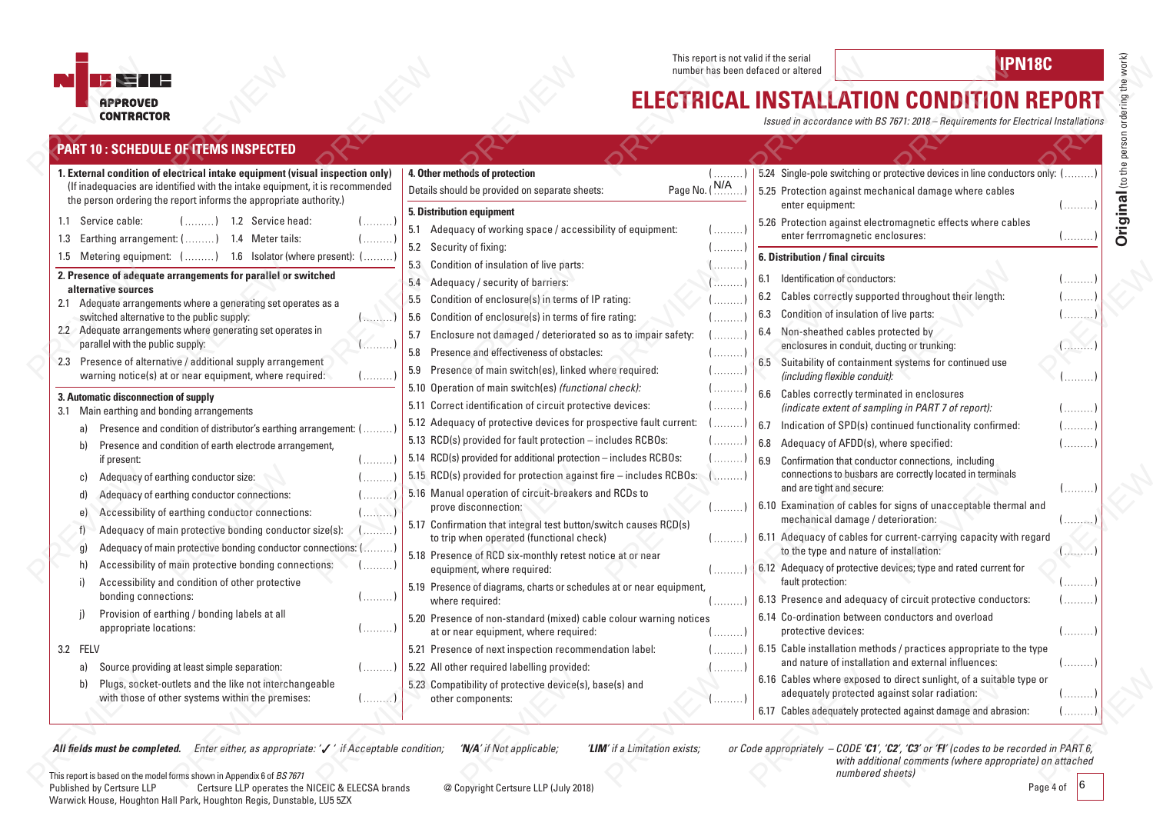

This report is not valid if the serial This report is not valid if the serial **IPN18C**<br>number has been defaced or altered **IPN18C** 

## **ELECTRICAL INSTALLATION CONDITION REPORT**

*Issued in accordance with BS 7671: 2018 – Requirements for Electrical Installations*

|          | <b>PART 10 : SCHEDULE OF ITEMS INSPECTED</b>                                                                                                                                                                                        |                                |                                                                                                                                                                                                 |                                       |                                             |                                                                                                                                        |            |
|----------|-------------------------------------------------------------------------------------------------------------------------------------------------------------------------------------------------------------------------------------|--------------------------------|-------------------------------------------------------------------------------------------------------------------------------------------------------------------------------------------------|---------------------------------------|---------------------------------------------|----------------------------------------------------------------------------------------------------------------------------------------|------------|
|          | 1. External condition of electrical intake equipment (visual inspection only)<br>(If inadequacies are identified with the intake equipment, it is recommended<br>the person ordering the report informs the appropriate authority.) |                                | 4. Other methods of protection<br>Details should be provided on separate sheets:                                                                                                                | ( )<br>Page No. (N/A                  | enter equipment:                            | 5.24 Single-pole switching or protective devices in line conductors only: ()<br>5.25 Protection against mechanical damage where cables | ( )        |
|          | 1.1 Service cable:<br>1.2 Service head:<br>1.4 Meter tails:<br>1.3 Earthing arrangement: $($ )                                                                                                                                      | .                              | <b>5. Distribution equipment</b><br>5.1 Adequacy of working space / accessibility of equipment:<br>5.2 Security of fixing:                                                                      | ()                                    |                                             | 5.26 Protection against electromagnetic effects where cables<br>enter ferrromagnetic enclosures:                                       | ( )        |
|          | 1.5 Metering equipment: () 1.6 Isolator (where present): (                                                                                                                                                                          |                                | 5.3 Condition of insulation of live parts:                                                                                                                                                      | $\left(\ldots, \ldots, \ldots\right)$ | 6. Distribution / final circuits            |                                                                                                                                        |            |
|          | 2. Presence of adequate arrangements for parallel or switched<br>alternative sources<br>2.1 Adequate arrangements where a generating set operates as a                                                                              |                                | 5.4 Adequacy / security of barriers:<br>5.5 Condition of enclosure(s) in terms of IP rating:                                                                                                    | .<br>.<br>.                           | 6.1 Identification of conductors:           | 6.2 Cables correctly supported throughout their length:                                                                                | . ]<br>. ) |
|          | switched alternative to the public supply:<br>2.2 Adequate arrangements where generating set operates in<br>parallel with the public supply:                                                                                        | ()<br>( )                      | 5.6 Condition of enclosure(s) in terms of fire rating:<br>5.7 Enclosure not damaged / deteriorated so as to impair safety:<br>Presence and effectiveness of obstacles:<br>5.8                   | (<br>( )                              | 6.3<br>6.4 Non-sheathed cables protected by | Condition of insulation of live parts:<br>enclosures in conduit, ducting or trunking:                                                  | . )<br>$1$ |
|          | 2.3 Presence of alternative / additional supply arrangement<br>warning notice(s) at or near equipment, where required:                                                                                                              | ( )                            | 5.9 Presence of main switch(es), linked where required:<br>5.10 Operation of main switch(es) (functional check):                                                                                | ()                                    | (including flexible conduit):               | 6.5 Suitability of containment systems for continued use                                                                               | . )        |
|          | 3. Automatic disconnection of supply<br>3.1 Main earthing and bonding arrangements                                                                                                                                                  |                                | 5.11 Correct identification of circuit protective devices:                                                                                                                                      | ( )<br>( )                            |                                             | 6.6 Cables correctly terminated in enclosures<br>(indicate extent of sampling in PART 7 of report):                                    | . )        |
|          | Presence and condition of distributor's earthing arrangement: (<br>a)<br>Presence and condition of earth electrode arrangement,<br>b)                                                                                               |                                | 5.12 Adequacy of protective devices for prospective fault current:<br>5.13 RCD(s) provided for fault protection - includes RCBOs:                                                               | .<br>(                                | 6.7<br>6.8                                  | Indication of SPD(s) continued functionality confirmed:<br>Adequacy of AFDD(s), where specified:                                       | . )<br>. ) |
|          | if present:<br>Adequacy of earthing conductor size:<br>C)<br>Adequacy of earthing conductor connections:<br>d)                                                                                                                      | ( )                            | 5.14 RCD(s) provided for additional protection - includes RCBOs:<br>5.15 RCD(s) provided for protection against fire - includes RCBOs:<br>5.16 Manual operation of circuit-breakers and RCDs to | ( )<br>. )                            | 6.9<br>and are tight and secure:            | Confirmation that conductor connections, including<br>connections to busbars are correctly located in terminals                        | . )        |
|          | Accessibility of earthing conductor connections:<br>e)<br>Adequacy of main protective bonding conductor size(s):                                                                                                                    | . )<br>التشايلية<br>المتنبيتها | prove disconnection:<br>5.17 Confirmation that integral test button/switch causes RCD(s)                                                                                                        | ( )                                   |                                             | 6.10 Examination of cables for signs of unacceptable thermal and<br>mechanical damage / deterioration:                                 | . 1        |
|          | Adequacy of main protective bonding conductor connections: ()<br>g)<br>Accessibility of main protective bonding connections:<br>h)                                                                                                  | . )                            | to trip when operated (functional check)<br>5.18 Presence of RCD six-monthly retest notice at or near                                                                                           | $($ )                                 |                                             | 6.11 Adequacy of cables for current-carrying capacity with regard<br>to the type and nature of installation:                           |            |
|          | Accessibility and condition of other protective<br>bonding connections:                                                                                                                                                             | ( )                            | equipment, where required:<br>5.19 Presence of diagrams, charts or schedules at or near equipment,<br>where required:                                                                           | $($ )<br>$($ )                        | fault protection:                           | 6.12 Adequacy of protective devices; type and rated current for<br>6.13 Presence and adequacy of circuit protective conductors:        | . 1<br>( ) |
|          | Provision of earthing / bonding labels at all<br>appropriate locations:                                                                                                                                                             | $(\ldots, \ldots)$             | 5.20 Presence of non-standard (mixed) cable colour warning notices<br>at or near equipment, where required:                                                                                     | ()                                    | protective devices:                         | 6.14 Co-ordination between conductors and overload                                                                                     | . )        |
| 3.2 FELV |                                                                                                                                                                                                                                     |                                | 5.21 Presence of next inspection recommendation label:                                                                                                                                          | ()                                    |                                             | 6.15 Cable installation methods / practices appropriate to the type                                                                    |            |
|          | Source providing at least simple separation:<br>a)                                                                                                                                                                                  | . )                            | 5.22 All other required labelling provided:                                                                                                                                                     | .                                     |                                             | and nature of installation and external influences:                                                                                    | . )        |
|          | Plugs, socket-outlets and the like not interchangeable<br>b)<br>with those of other systems within the premises:                                                                                                                    | (x)                            | 5.23 Compatibility of protective device(s), base(s) and<br>other components:                                                                                                                    | . 1                                   |                                             | 6.16 Cables where exposed to direct sunlight, of a suitable type or<br>adequately protected against solar radiation:                   | . 1        |
|          |                                                                                                                                                                                                                                     |                                |                                                                                                                                                                                                 |                                       |                                             | 6.17 Cables adequately protected against damage and abrasion:                                                                          |            |

All fields must be completed. Enter either, as appropriate: '/' if Acceptable condition; 'N/A' if Not applicable; 'LIM' if a Limitation exists; or Code appropriately - CODE 'C1', 'C2', 'C3' or 'FI' (codes to be recorded in

**Original** (to the person ordering the work)

Original (to the person ordering the work)

This report is based on the model forms shown in Appendix 6 of *BS 7671*<br>Published by Certsure LLP Certsure LLP operates the Certsure LLP operates the NICEIC & ELECSA brands @ Copyright Certsure LLP (July 2018) Warwick House, Houghton Hall Park, Houghton Regis, Dunstable, LU5 5ZX

Page 4 of 6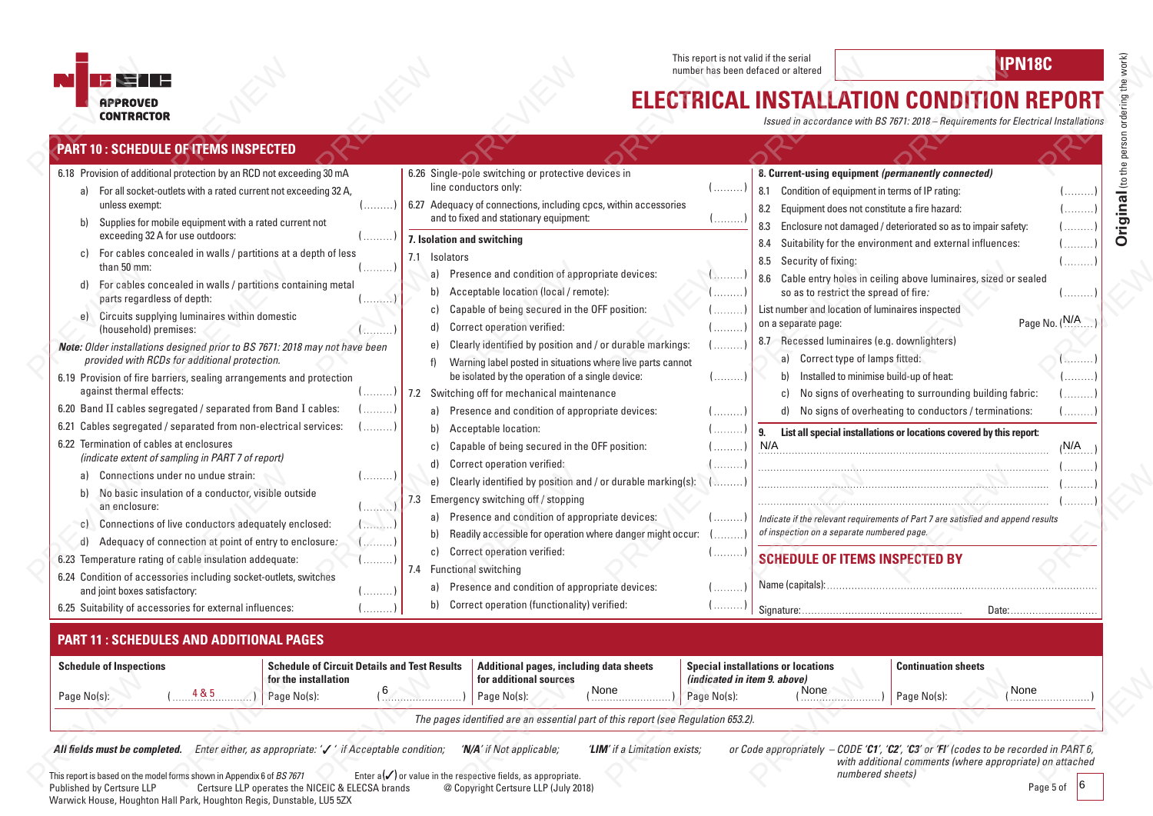

Warwick House, Houghton Hall Park, Houghton Regis, Dunstable, LU5 5ZX

This report is not valid if the serial This report is not valid if the serial **IPN18C**<br>number has been defaced or altered **IPN18C** 

# **ELECTRICAL INSTALLATION CONDITION REPORT**

*Issued in accordance with BS 7671: 2018 – Requirements for Electrical Installations*

| <b>PART 10: SCHEDULE OF ITEMS INSPECTED</b>                                                                                                                                                                                                                                                                                                                                                                                                                                                                                                                                                                                                                                                                                                                                                                                                                                                                                                                                                                                                                                                                                                                                                                                                                                                                                                                                                                                                           |                                                                                                             |                                                                                                                                                                                                                                                                                                                                                                                                                                                                                                                                                                                                                                                                    |                                                                                                                                                                                                                                                                                                                                                                                                                                                                                                                                                                |                                                                                                                                                                                 |                                                                                 |                                                                                                                                                                                                                                                                                                                                                                                                                                                                                                                                                                                                                                                                                                                                                                                                                                                                                                                                                                      |                                                                                                                                                                                |
|-------------------------------------------------------------------------------------------------------------------------------------------------------------------------------------------------------------------------------------------------------------------------------------------------------------------------------------------------------------------------------------------------------------------------------------------------------------------------------------------------------------------------------------------------------------------------------------------------------------------------------------------------------------------------------------------------------------------------------------------------------------------------------------------------------------------------------------------------------------------------------------------------------------------------------------------------------------------------------------------------------------------------------------------------------------------------------------------------------------------------------------------------------------------------------------------------------------------------------------------------------------------------------------------------------------------------------------------------------------------------------------------------------------------------------------------------------|-------------------------------------------------------------------------------------------------------------|--------------------------------------------------------------------------------------------------------------------------------------------------------------------------------------------------------------------------------------------------------------------------------------------------------------------------------------------------------------------------------------------------------------------------------------------------------------------------------------------------------------------------------------------------------------------------------------------------------------------------------------------------------------------|----------------------------------------------------------------------------------------------------------------------------------------------------------------------------------------------------------------------------------------------------------------------------------------------------------------------------------------------------------------------------------------------------------------------------------------------------------------------------------------------------------------------------------------------------------------|---------------------------------------------------------------------------------------------------------------------------------------------------------------------------------|---------------------------------------------------------------------------------|----------------------------------------------------------------------------------------------------------------------------------------------------------------------------------------------------------------------------------------------------------------------------------------------------------------------------------------------------------------------------------------------------------------------------------------------------------------------------------------------------------------------------------------------------------------------------------------------------------------------------------------------------------------------------------------------------------------------------------------------------------------------------------------------------------------------------------------------------------------------------------------------------------------------------------------------------------------------|--------------------------------------------------------------------------------------------------------------------------------------------------------------------------------|
| 6.18 Provision of additional protection by an RCD not exceeding 30 mA<br>a) For all socket-outlets with a rated current not exceeding 32 A,<br>unless exempt:<br>Supplies for mobile equipment with a rated current not<br>b)<br>exceeding 32 A for use outdoors:<br>For cables concealed in walls / partitions at a depth of less<br>c)<br>than 50 mm:<br>For cables concealed in walls / partitions containing metal<br>d)<br>parts regardless of depth:<br>Circuits supplying luminaires within domestic<br>e)<br>(household) premises:<br>Note: Older installations designed prior to BS 7671: 2018 may not have been<br>provided with RCDs for additional protection.<br>6.19 Provision of fire barriers, sealing arrangements and protection<br>against thermal effects:<br>6.20 Band II cables segregated / separated from Band I cables:<br>6.21 Cables segregated / separated from non-electrical services:<br>6.22 Termination of cables at enclosures<br>(indicate extent of sampling in PART 7 of report)<br>Connections under no undue strain:<br>a)<br>No basic insulation of a conductor, visible outside<br>b)<br>an enclosure:<br>Connections of live conductors adequately enclosed:<br>$\mathsf{C}$<br>Adequacy of connection at point of entry to enclosure.<br>d)<br>6.23 Temperature rating of cable insulation addequate:<br>6.24 Condition of accessories including socket-outlets, switches<br>and joint boxes satisfactory: | ()<br>$($ )<br>$(\ldots, \ldots, \ldots)$<br>$($ )<br>( )<br>. )<br>( )<br>().<br>$(\ldots, \ldots)$<br>( ) | 6.26 Single-pole switching or protective devices in<br>line conductors only:<br>6.27 Adequacy of connections, including cpcs, within accessories<br>and to fixed and stationary equipment:<br>7. Isolation and switching<br>7.1 Isolators<br>a)<br>Acceptable location (local / remote):<br>b)<br>c)<br>Correct operation verified:<br>d)<br>e)<br>be isolated by the operation of a single device:<br>7.2 Switching off for mechanical maintenance<br>a)<br>Acceptable location:<br>b)<br>c)<br>Correct operation verified:<br>d)<br>e)<br>7.3 Emergency switching off / stopping<br>a)<br>b)<br>c) Correct operation verified:<br>7.4 Functional switching<br>a) | Presence and condition of appropriate devices:<br>Capable of being secured in the OFF position:<br>Clearly identified by position and / or durable markings:<br>Warning label posted in situations where live parts cannot<br>Presence and condition of appropriate devices:<br>Capable of being secured in the OFF position:<br>Clearly identified by position and / or durable marking(s):<br>Presence and condition of appropriate devices:<br>Readily accessible for operation where danger might occur:<br>Presence and condition of appropriate devices: | $($ )<br>$\{\ldots, \ldots, \ldots\}$<br>$(\ldots, \ldots)$<br>$($ )<br>$($ )<br>$($ )<br>$($ )<br>( )<br>$($ )<br>( )<br>.<br>$(\ldots, \ldots)$<br>$($ )<br>( <b>.</b><br>$($ | 8.3<br>8.4<br>8.5 Security of fixing:<br>on a separate page:<br>b)<br>c)<br>N/A | 8. Current-using equipment (permanently connected)<br>8.1 Condition of equipment in terms of IP rating:<br>8.2 Equipment does not constitute a fire hazard:<br>Enclosure not damaged / deteriorated so as to impair safety:<br>Suitability for the environment and external influences:<br>8.6 Cable entry holes in ceiling above luminaires, sized or sealed<br>so as to restrict the spread of fire.<br>List number and location of luminaires inspected<br>8.7 Recessed luminaires (e.g. downlighters)<br>a) Correct type of lamps fitted:<br>Installed to minimise build-up of heat:<br>No signs of overheating to surrounding building fabric:<br>d) No signs of overheating to conductors / terminations:<br>9. List all special installations or locations covered by this report:<br>Indicate if the relevant requirements of Part 7 are satisfied and append results<br>of inspection on a separate numbered page.<br><b>SCHEDULE OF ITEMS INSPECTED BY</b> | $\left  \ldots \ldots \right $<br>()<br>( )<br>()<br>$(\ldots, \ldots, \ldots)$<br>( )<br>Page No. $(N/A$<br>. <del>.</del> .<br>. )<br>()<br>( )<br>$_1$ N/A<br>$($ )<br>(. ) |
| 6.25 Suitability of accessories for external influences:                                                                                                                                                                                                                                                                                                                                                                                                                                                                                                                                                                                                                                                                                                                                                                                                                                                                                                                                                                                                                                                                                                                                                                                                                                                                                                                                                                                              | $($ )                                                                                                       | b) Correct operation (functionality) verified:                                                                                                                                                                                                                                                                                                                                                                                                                                                                                                                                                                                                                     |                                                                                                                                                                                                                                                                                                                                                                                                                                                                                                                                                                | $\{$                                                                                                                                                                            |                                                                                 |                                                                                                                                                                                                                                                                                                                                                                                                                                                                                                                                                                                                                                                                                                                                                                                                                                                                                                                                                                      | Date:                                                                                                                                                                          |
| <b>PART 11: SCHEDULES AND ADDITIONAL PAGES</b><br><b>Schedule of Inspections</b><br><b>Schedule of Circuit Details and Test Results</b><br>for the installation<br>1.485<br>Page No(s):<br>Page No(s):<br>. )<br><b>All fields must be completed.</b> Enter either, as appropriate: $\checkmark$ if Acceptable condition;                                                                                                                                                                                                                                                                                                                                                                                                                                                                                                                                                                                                                                                                                                                                                                                                                                                                                                                                                                                                                                                                                                                             |                                                                                                             | for additional sources<br>(6)<br>Page No(s):<br>'N/A' if Not applicable;                                                                                                                                                                                                                                                                                                                                                                                                                                                                                                                                                                                           | Additional pages, including data sheets<br>None<br>The pages identified are an essential part of this report (see Regulation 653.2).<br>'LIM' if a Limitation exists;                                                                                                                                                                                                                                                                                                                                                                                          | (indicated in item 9. above)<br>Page No(s):                                                                                                                                     | <b>Special installations or locations</b><br>, None                             | <b>Continuation sheets</b><br>Page No(s):<br>or Code appropriately $-CODE 'CI'$ , 'C2', 'C3' or 'FI' (codes to be recorded in PART 6,<br>with additional comments (where appropriate) on attached                                                                                                                                                                                                                                                                                                                                                                                                                                                                                                                                                                                                                                                                                                                                                                    | None                                                                                                                                                                           |
| This report is based on the model forms shown in Appendix 6 of BS 7671<br>Certsure LLP operates the NICEIC & ELECSA brands<br>Published by Certsure LLP                                                                                                                                                                                                                                                                                                                                                                                                                                                                                                                                                                                                                                                                                                                                                                                                                                                                                                                                                                                                                                                                                                                                                                                                                                                                                               |                                                                                                             | Enter $a(\checkmark)$ or value in the respective fields, as appropriate.<br>@ Copyright Certsure LLP (July 2018)                                                                                                                                                                                                                                                                                                                                                                                                                                                                                                                                                   |                                                                                                                                                                                                                                                                                                                                                                                                                                                                                                                                                                |                                                                                                                                                                                 |                                                                                 | numbered sheets)                                                                                                                                                                                                                                                                                                                                                                                                                                                                                                                                                                                                                                                                                                                                                                                                                                                                                                                                                     | Page 5 of                                                                                                                                                                      |

Original (to the person ordering the work) **Original** (to the person ordering the work)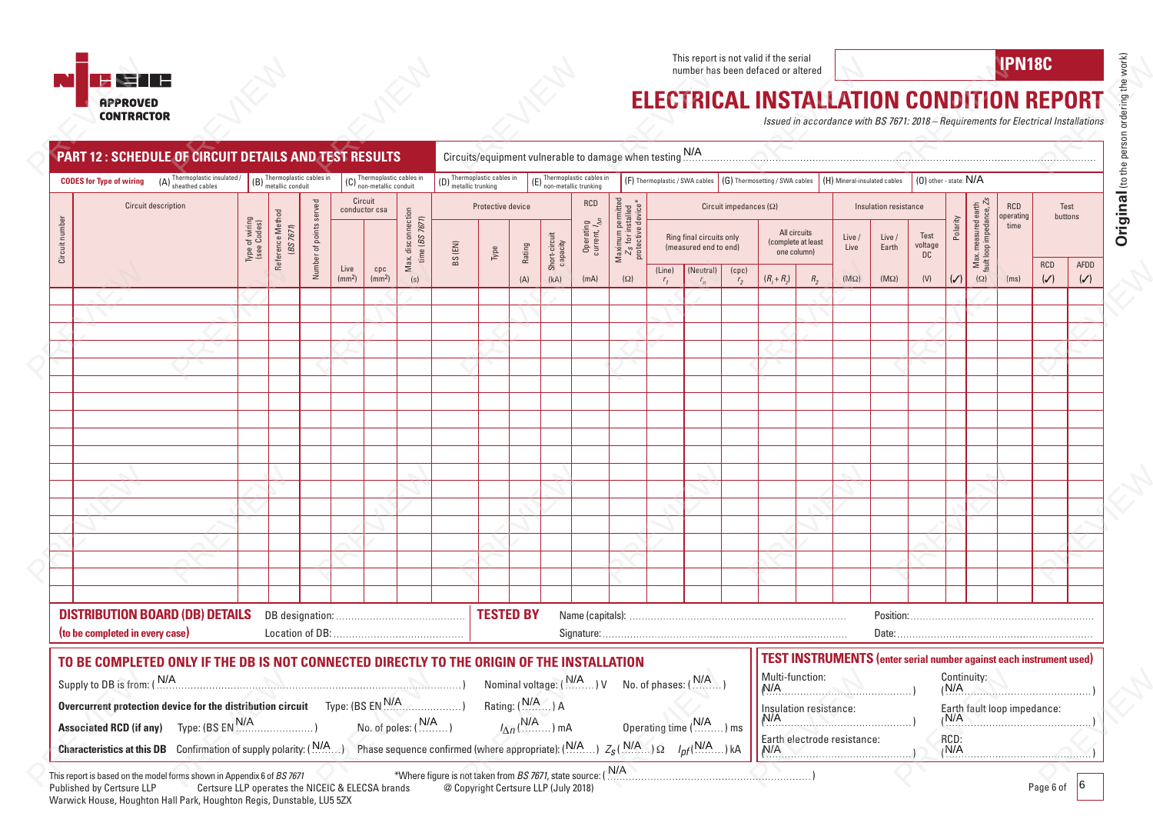This report is not valid if the serial This report is not valid if the serial **IPN18C**<br>number has been defaced or altered **IPN18C** 

## **HETH IN APPROVED<br>CONTRACTOR**

## **ELECTRICAL INSTALLATION CONDITION REPORT**

|                | <b>NET F</b>                                                                                                                                                                                                                                                                                                                    |                               |                                                   |                         |                            |                           |                                                       |                                                                                                                                                                                                                                |                                                    |                   |                             |                                                      |                                                                |        |                                                   |                               | This report is not valid if the serial<br>number has been defaced or altered |                                                   |                                                                                                           |                       |                            |                                                         |                                                | IPN18C                      |                              |                        |
|----------------|---------------------------------------------------------------------------------------------------------------------------------------------------------------------------------------------------------------------------------------------------------------------------------------------------------------------------------|-------------------------------|---------------------------------------------------|-------------------------|----------------------------|---------------------------|-------------------------------------------------------|--------------------------------------------------------------------------------------------------------------------------------------------------------------------------------------------------------------------------------|----------------------------------------------------|-------------------|-----------------------------|------------------------------------------------------|----------------------------------------------------------------|--------|---------------------------------------------------|-------------------------------|------------------------------------------------------------------------------|---------------------------------------------------|-----------------------------------------------------------------------------------------------------------|-----------------------|----------------------------|---------------------------------------------------------|------------------------------------------------|-----------------------------|------------------------------|------------------------|
|                | <b>APPROVED</b><br><b>CONTRACTOR</b>                                                                                                                                                                                                                                                                                            |                               |                                                   |                         |                            |                           |                                                       |                                                                                                                                                                                                                                |                                                    |                   |                             |                                                      |                                                                |        |                                                   |                               | <b>ELECTRICAL INSTALLATION CONDITION REPORT</b>                              |                                                   | Issued in accordance with BS 7671: 2018 - Requirements for Electrical Installations                       |                       |                            |                                                         |                                                |                             |                              |                        |
|                | <b>PART 12: SCHEDULE OF CIRCUIT DETAILS AND TEST RESULTS</b>                                                                                                                                                                                                                                                                    |                               |                                                   |                         |                            |                           |                                                       |                                                                                                                                                                                                                                |                                                    |                   |                             |                                                      | Circuits/equipment vulnerable to damage when testing N/A       |        |                                                   |                               |                                                                              |                                                   |                                                                                                           |                       |                            |                                                         |                                                |                             |                              |                        |
|                | $(A)$ Thermoplastic insulated /<br><b>CODES for Type of wiring</b>                                                                                                                                                                                                                                                              |                               | $(B)$ Thermoplastic cables in<br>metallic conduit |                         |                            |                           | $(C)$ Thermoplastic cables in<br>non-metallic conduit |                                                                                                                                                                                                                                | $(D)$ Thermoplastic cables in<br>metallic trunking |                   |                             | (E) Thermoplastic cables in<br>non-metallic trunking |                                                                |        | (F) Thermoplastic / SWA cables                    |                               | (G) Thermosetting / SWA cables                                               |                                                   | (H) Mineral-insulated cables                                                                              |                       | $(0)$ other - state: $N/A$ |                                                         |                                                |                             |                              |                        |
|                | Circuit description                                                                                                                                                                                                                                                                                                             |                               |                                                   |                         |                            | Circuit<br>conductor csa  |                                                       |                                                                                                                                                                                                                                | Protective device                                  |                   |                             | RCD                                                  |                                                                |        |                                                   | Circuit impedances $(\Omega)$ |                                                                              |                                                   |                                                                                                           | Insulation resistance |                            |                                                         |                                                | <b>RCD</b>                  | Test                         |                        |
| Circuit number |                                                                                                                                                                                                                                                                                                                                 | Type of wiring<br>(see Codes) | Reference Method<br>(BS 7671)                     | Number of points served |                            |                           | Max. disconnection<br>time (BS 7671)                  | BS (EN)                                                                                                                                                                                                                        | Type                                               | Rating            | Short-circuit<br>capacity   | Operating<br>current, $\frac{1}{\Delta n}$           | Maximum permitted<br>$Z_S$ for installed<br>protective device* |        | Ring final circuits only<br>(measured end to end) |                               |                                                                              | All circuits<br>(complete at least<br>one column) | Live<br>Live                                                                                              | Live /<br>Earth       | Test<br>voltage<br>DC      | Polarity                                                | Max measured earth<br>fault loop impedance, Zs | operating<br>time           | buttons                      |                        |
|                |                                                                                                                                                                                                                                                                                                                                 |                               |                                                   |                         | Live<br>(mm <sup>2</sup> ) | cpc<br>(mm <sup>2</sup> ) | (s)                                                   |                                                                                                                                                                                                                                |                                                    | (A)               | (kA)                        | (mA)                                                 | $(\Omega)$                                                     | (Line) | (Neutral)                                         | (cpc)<br>r <sub>2</sub>       | $(R_1 + R_2)$                                                                | $R_{2}$                                           | $(M\Omega)$                                                                                               | $(M\Omega)$           | (V)                        | $(\checkmark)$                                          | $(\Omega)$                                     | (ms)                        | <b>RCD</b><br>$(\checkmark)$ | AFDD<br>$(\checkmark)$ |
|                |                                                                                                                                                                                                                                                                                                                                 |                               |                                                   |                         |                            |                           |                                                       |                                                                                                                                                                                                                                |                                                    |                   |                             |                                                      |                                                                |        |                                                   |                               |                                                                              |                                                   |                                                                                                           |                       |                            |                                                         |                                                |                             |                              |                        |
|                |                                                                                                                                                                                                                                                                                                                                 |                               |                                                   |                         |                            |                           |                                                       |                                                                                                                                                                                                                                |                                                    |                   |                             |                                                      |                                                                |        |                                                   |                               |                                                                              |                                                   |                                                                                                           |                       |                            |                                                         |                                                |                             |                              |                        |
|                |                                                                                                                                                                                                                                                                                                                                 |                               |                                                   |                         |                            |                           |                                                       |                                                                                                                                                                                                                                |                                                    |                   |                             |                                                      |                                                                |        |                                                   |                               |                                                                              |                                                   |                                                                                                           |                       |                            |                                                         |                                                |                             |                              |                        |
|                |                                                                                                                                                                                                                                                                                                                                 |                               |                                                   |                         |                            |                           |                                                       |                                                                                                                                                                                                                                |                                                    |                   |                             |                                                      |                                                                |        |                                                   |                               |                                                                              |                                                   |                                                                                                           |                       |                            |                                                         |                                                |                             |                              |                        |
|                |                                                                                                                                                                                                                                                                                                                                 |                               |                                                   |                         |                            |                           |                                                       |                                                                                                                                                                                                                                |                                                    |                   |                             |                                                      |                                                                |        |                                                   |                               |                                                                              |                                                   |                                                                                                           |                       |                            |                                                         |                                                |                             |                              |                        |
|                |                                                                                                                                                                                                                                                                                                                                 |                               |                                                   |                         |                            |                           |                                                       |                                                                                                                                                                                                                                |                                                    |                   |                             |                                                      |                                                                |        |                                                   |                               |                                                                              |                                                   |                                                                                                           |                       |                            |                                                         |                                                |                             |                              |                        |
|                |                                                                                                                                                                                                                                                                                                                                 |                               |                                                   |                         |                            |                           |                                                       |                                                                                                                                                                                                                                |                                                    |                   |                             |                                                      |                                                                |        |                                                   |                               |                                                                              |                                                   |                                                                                                           |                       |                            |                                                         |                                                |                             |                              |                        |
|                |                                                                                                                                                                                                                                                                                                                                 |                               |                                                   |                         |                            |                           |                                                       |                                                                                                                                                                                                                                |                                                    |                   |                             |                                                      |                                                                |        |                                                   |                               |                                                                              |                                                   |                                                                                                           |                       |                            |                                                         |                                                |                             |                              |                        |
|                |                                                                                                                                                                                                                                                                                                                                 |                               |                                                   |                         |                            |                           |                                                       |                                                                                                                                                                                                                                |                                                    |                   |                             |                                                      |                                                                |        |                                                   |                               |                                                                              |                                                   |                                                                                                           |                       |                            |                                                         |                                                |                             |                              |                        |
|                |                                                                                                                                                                                                                                                                                                                                 |                               |                                                   |                         |                            |                           |                                                       |                                                                                                                                                                                                                                |                                                    |                   |                             |                                                      |                                                                |        |                                                   |                               |                                                                              |                                                   |                                                                                                           |                       |                            |                                                         |                                                |                             |                              |                        |
|                |                                                                                                                                                                                                                                                                                                                                 |                               |                                                   |                         |                            |                           |                                                       |                                                                                                                                                                                                                                |                                                    |                   |                             |                                                      |                                                                |        |                                                   |                               |                                                                              |                                                   |                                                                                                           |                       |                            |                                                         |                                                |                             |                              |                        |
|                |                                                                                                                                                                                                                                                                                                                                 |                               |                                                   |                         |                            |                           |                                                       |                                                                                                                                                                                                                                |                                                    |                   |                             |                                                      |                                                                |        |                                                   |                               |                                                                              |                                                   |                                                                                                           |                       |                            |                                                         |                                                |                             |                              |                        |
|                |                                                                                                                                                                                                                                                                                                                                 |                               |                                                   |                         |                            |                           |                                                       |                                                                                                                                                                                                                                |                                                    |                   |                             |                                                      |                                                                |        |                                                   |                               |                                                                              |                                                   |                                                                                                           |                       |                            |                                                         |                                                |                             |                              |                        |
|                |                                                                                                                                                                                                                                                                                                                                 |                               |                                                   |                         |                            |                           |                                                       |                                                                                                                                                                                                                                |                                                    |                   |                             |                                                      |                                                                |        |                                                   |                               |                                                                              |                                                   |                                                                                                           |                       |                            |                                                         |                                                |                             |                              |                        |
|                | <b>DISTRIBUTION BOARD (DB) DETAILS</b><br>(to be completed in every case)                                                                                                                                                                                                                                                       |                               |                                                   |                         |                            |                           |                                                       |                                                                                                                                                                                                                                | <b>TESTED BY</b>                                   |                   |                             |                                                      |                                                                |        |                                                   |                               |                                                                              |                                                   |                                                                                                           |                       |                            |                                                         |                                                |                             |                              |                        |
|                | TO BE COMPLETED ONLY IF THE DB IS NOT CONNECTED DIRECTLY TO THE ORIGIN OF THE INSTALLATION<br>Supply to DB is from: (N/A)<br>Overcurrent protection device for the distribution circuit<br>Type: (BS $EN$ $N/A$ )<br><b>Associated RCD (if any)</b><br><b>Characteristics at this DB</b> Confirmation of supply polarity: (N/A) |                               |                                                   |                         |                            |                           | No. of poles: $(N/A)$                                 | Type: $(BS EN M/A$<br>Phase sequence confirmed (where appropriate): $(N/A)$ $Z_S(N/A)$ $\Omega$ $I_{pf}(N/A)$ $\Omega$                                                                                                         |                                                    | Rating: $(N/A)$ A | $I_{\Delta n}$ ( $N/A$ ) mA |                                                      | Nominal voltage: (M/A  ) V No. of phases: (M/A                 |        | Operating time (N/A) ms                           |                               | Multi-function:<br>N/A<br>N/A<br>N/A                                         | Insulation resistance:                            | <b>TEST INSTRUMENTS</b> (enter serial number against each instrument used)<br>Earth electrode resistance: |                       |                            | Continuity:<br>(N/A)<br>$\sqrt{(N/A)}$<br>RCD:<br>(N/A) |                                                | Earth fault loop impedance: |                              |                        |
|                | This report is based on the model forms shown in Appendix 6 of BS 7671<br>Published by Certsure LLP<br>Certsure LLP operates the NICEIC & ELECSA brands<br>Warwick House, Houghton Hall Park, Houghton Regis, Dunstable, LU5 5ZX                                                                                                |                               |                                                   |                         |                            |                           |                                                       | *Where figure is not taken from BS 7671, state source: (WAMMARE MARE INTERNATIONAL CONDUCTED STATE IN THE STATE IN THE STATE IN THE STATE IN THE STATE IN THE STATE IN THE STATE IN THE STATE IN THE STATE IN THE STATE IN THE | @ Copyright Certsure LLP (July 2018)               |                   |                             |                                                      | N/A                                                            |        |                                                   |                               |                                                                              |                                                   |                                                                                                           |                       |                            |                                                         |                                                |                             | Page 6 of                    |                        |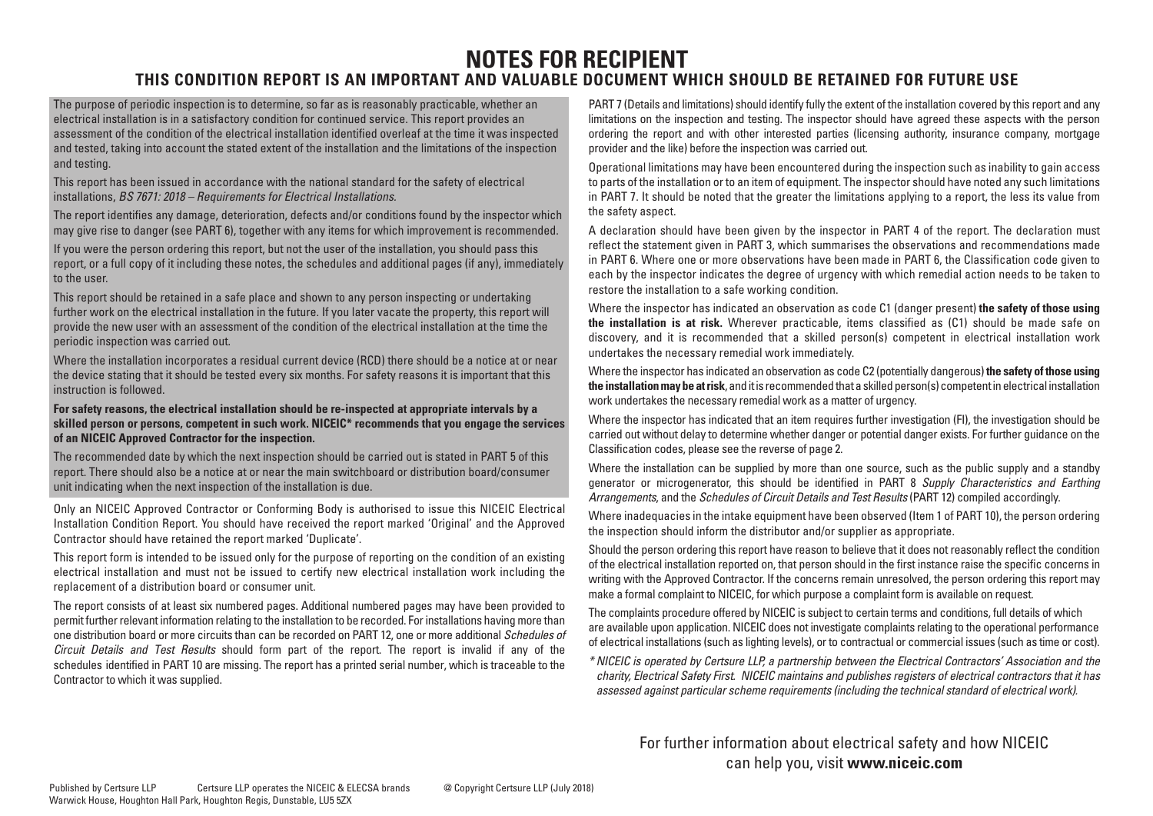# **NOTES FOR RECIPIENT**

### **THIS CONDITION REPORT IS AN IMPORTANT AND VALUABLE DOCUMENT WHICH SHOULD BE RETAINED FOR FUTURE USE**

The purpose of periodic inspection is to determine, so far as is reasonably practicable, whether an electrical installation is in a satisfactory condition for continued service. This report provides an assessment of the condition of the electrical installation identified overleaf at the time it was inspected and tested, taking into account the stated extent of the installation and the limitations of the inspection and testing.

This report has been issued in accordance with the national standard for the safety of electrical installations, *BS 7671: 2018 – Requirements for Electrical Installations.*

The report identifies any damage, deterioration, defects and/or conditions found by the inspector which may give rise to danger (see PART 6), together with any items for which improvement is recommended.

If you were the person ordering this report, but not the user of the installation, you should pass this report, or a full copy of it including these notes, the schedules and additional pages (if any), immediately to the user.

This report should be retained in a safe place and shown to any person inspecting or undertaking further work on the electrical installation in the future. If you later vacate the property, this report will provide the new user with an assessment of the condition of the electrical installation at the time the periodic inspection was carried out.

Where the installation incorporates a residual current device (RCD) there should be a notice at or near the device stating that it should be tested every six months. For safety reasons it is important that this instruction is followed.

### **For safety reasons, the electrical installation should be re-inspected at appropriate intervals by a skilled person or persons, competent in such work. NICEIC\* recommends that you engage the services of an NICEIC Approved Contractor for the inspection.**

The recommended date by which the next inspection should be carried out is stated in PART 5 of this report. There should also be a notice at or near the main switchboard or distribution board/consumer unit indicating when the next inspection of the installation is due.

Only an NICEIC Approved Contractor or Conforming Body is authorised to issue this NICEIC Electrical Installation Condition Report. You should have received the report marked 'Original' and the Approved Contractor should have retained the report marked 'Duplicate'.

This report form is intended to be issued only for the purpose of reporting on the condition of an existing electrical installation and must not be issued to certify new electrical installation work including the replacement of a distribution board or consumer unit.

The report consists of at least six numbered pages. Additional numbered pages may have been provided to permit further relevant information relating to the installation to be recorded. For installations having more than one distribution board or more circuits than can be recorded on PART 12, one or more additional *Schedules of Circuit Details and Test Results* should form part of the report. The report is invalid if any of the schedules identified in PART 10 are missing. The report has a printed serial number, which is traceable to the Contractor to which it was supplied.

PART 7 (Details and limitations) should identify fully the extent of the installation covered by this report and any limitations on the inspection and testing. The inspector should have agreed these aspects with the person ordering the report and with other interested parties (licensing authority, insurance company, mortgage provider and the like) before the inspection was carried out.

Operational limitations may have been encountered during the inspection such as inability to gain access to parts of the installation or to an item of equipment. The inspector should have noted any such limitations in PART 7. It should be noted that the greater the limitations applying to a report, the less its value from the safety aspect.

A declaration should have been given by the inspector in PART 4 of the report. The declaration must reflect the statement given in PART 3, which summarises the observations and recommendations made in PART 6. Where one or more observations have been made in PART 6, the Classification code given to each by the inspector indicates the degree of urgency with which remedial action needs to be taken to restore the installation to a safe working condition.

Where the inspector has indicated an observation as code C1 (danger present) **the safety of those using the installation is at risk.** Wherever practicable, items classified as (C1) should be made safe on discovery, and it is recommended that a skilled person(s) competent in electrical installation work undertakes the necessary remedial work immediately.

Where the inspector has indicated an observation as code C2 (potentially dangerous) **the safety of those using the installation may be at risk**, and it is recommended that a skilled person(s) competent in electrical installation work undertakes the necessary remedial work as a matter of urgency.

Where the inspector has indicated that an item requires further investigation (FI), the investigation should be carried out without delay to determine whether danger or potential danger exists. For further guidance on the Classification codes, please see the reverse of page 2.

Where the installation can be supplied by more than one source, such as the public supply and a standby generator or microgenerator, this should be identified in PART 8 *Supply Characteristics and Earthing Arrangements*, and the *Schedules of Circuit Details and Test Results* (PART 12) compiled accordingly.

Where inadequacies in the intake equipment have been observed (Item 1 of PART 10), the person ordering the inspection should inform the distributor and/or supplier as appropriate.

Should the person ordering this report have reason to believe that it does not reasonably reflect the condition of the electrical installation reported on, that person should in the first instance raise the specific concerns in writing with the Approved Contractor. If the concerns remain unresolved, the person ordering this report may make a formal complaint to NICEIC, for which purpose a complaint form is available on request.

The complaints procedure offered by NICEIC is subject to certain terms and conditions, full details of which are available upon application. NICEIC does not investigate complaints relating to the operational performance of electrical installations (such as lighting levels), or to contractual or commercial issues (such as time or cost).

*\* NICEIC is operated by Certsure LLP, a partnership between the Electrical Contractors' Association and the charity, Electrical Safety First. NICEIC maintains and publishes registers of electrical contractors that it has assessed against particular scheme requirements (including the technical standard of electrical work).*

For further information about electrical safety and how NICEIC can help you, visit **www.niceic.com**